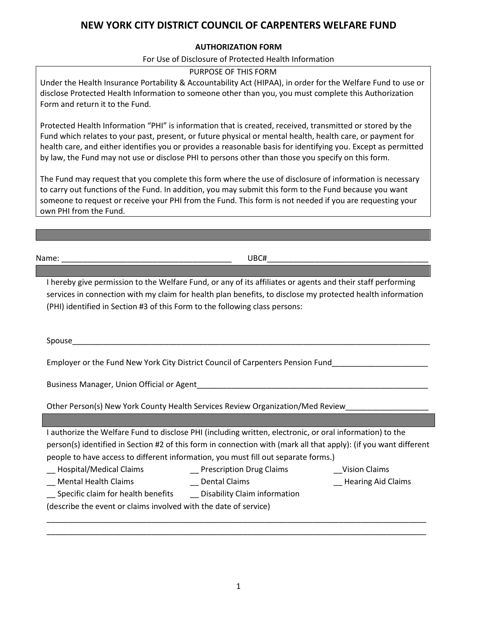## **NEW YORK CITY DISTRICT COUNCIL OF CARPENTERS WELFARE FUND**

## **AUTHORIZATION FORM**

## For Use of Disclosure of Protected Health Information

## PURPOSE OF THIS FORM

Under the Health Insurance Portability & Accountability Act (HIPAA), in order for the Welfare Fund to use or disclose Protected Health Information to someone other than you, you must complete this Authorization Form and return it to the Fund.

Protected Health Information "PHI" is information that is created, received, transmitted or stored by the Fund which relates to your past, present, or future physical or mental health, health care, or payment for health care, and either identifies you or provides a reasonable basis for identifying you. Except as permitted by law, the Fund may not use or disclose PHI to persons other than those you specify on this form.

The Fund may request that you complete this form where the use of disclosure of information is necessary to carry out functions of the Fund. In addition, you may submit this form to the Fund because you want someone to request or receive your PHI from the Fund. This form is not needed if you are requesting your own PHI from the Fund.

Name: \_\_\_\_\_\_\_\_\_\_\_\_\_\_\_\_\_\_\_\_\_\_\_\_\_\_\_\_\_\_\_\_\_\_\_\_\_\_\_ UBC#\_\_\_\_\_\_\_\_\_\_\_\_\_\_\_\_\_\_\_\_\_\_\_\_\_\_\_\_\_\_\_\_\_\_\_\_\_

I hereby give permission to the Welfare Fund, or any of its affiliates or agents and their staff performing services in connection with my claim for health plan benefits, to disclose my protected health information (PHI) identified in Section #3 of this Form to the following class persons:

Spouse\_\_\_\_\_\_\_\_\_\_\_\_\_\_\_\_\_\_\_\_\_\_\_\_\_\_\_\_\_\_\_\_\_\_\_\_\_\_\_\_\_\_\_\_\_\_\_\_\_\_\_\_\_\_\_\_\_\_\_\_\_\_\_\_\_\_\_\_\_\_\_\_\_\_\_\_\_\_\_\_\_\_

Employer or the Fund New York City District Council of Carpenters Pension Fund\_\_\_\_\_\_\_\_\_\_\_\_\_\_\_\_\_\_\_\_\_\_

Business Manager, Union Official or Agent

Other Person(s) New York County Health Services Review Organization/Med Review

| I authorize the Welfare Fund to disclose PHI (including written, electronic, or oral information) to the         |                          |               |  |  |  |  |
|------------------------------------------------------------------------------------------------------------------|--------------------------|---------------|--|--|--|--|
| person(s) identified in Section #2 of this form in connection with (mark all that apply): (if you want different |                          |               |  |  |  |  |
| people to have access to different information, you must fill out separate forms.)                               |                          |               |  |  |  |  |
| __ Hospital/Medical Claims                                                                                       | Prescription Drug Claims | Vision Claims |  |  |  |  |

|  |  | Hospital/Medical Claims |  |
|--|--|-------------------------|--|
|  |  |                         |  |

- \_\_ Mental Health Claims \_\_\_\_\_\_\_\_\_\_\_\_\_\_\_\_Dental Claims \_\_\_\_\_\_\_\_\_\_\_\_\_\_\_\_\_\_\_\_\_\_\_\_\_\_Hearing Aid Claims
- 
- \_\_ Specific claim for health benefits \_\_ Disability Claim information

(describe the event or claims involved with the date of service)

\_\_\_\_\_\_\_\_\_\_\_\_\_\_\_\_\_\_\_\_\_\_\_\_\_\_\_\_\_\_\_\_\_\_\_\_\_\_\_\_\_\_\_\_\_\_\_\_\_\_\_\_\_\_\_\_\_\_\_\_\_\_\_\_\_\_\_\_\_\_\_\_\_\_\_\_\_\_\_\_\_\_\_\_\_\_\_ \_\_\_\_\_\_\_\_\_\_\_\_\_\_\_\_\_\_\_\_\_\_\_\_\_\_\_\_\_\_\_\_\_\_\_\_\_\_\_\_\_\_\_\_\_\_\_\_\_\_\_\_\_\_\_\_\_\_\_\_\_\_\_\_\_\_\_\_\_\_\_\_\_\_\_\_\_\_\_\_\_\_\_\_\_\_\_